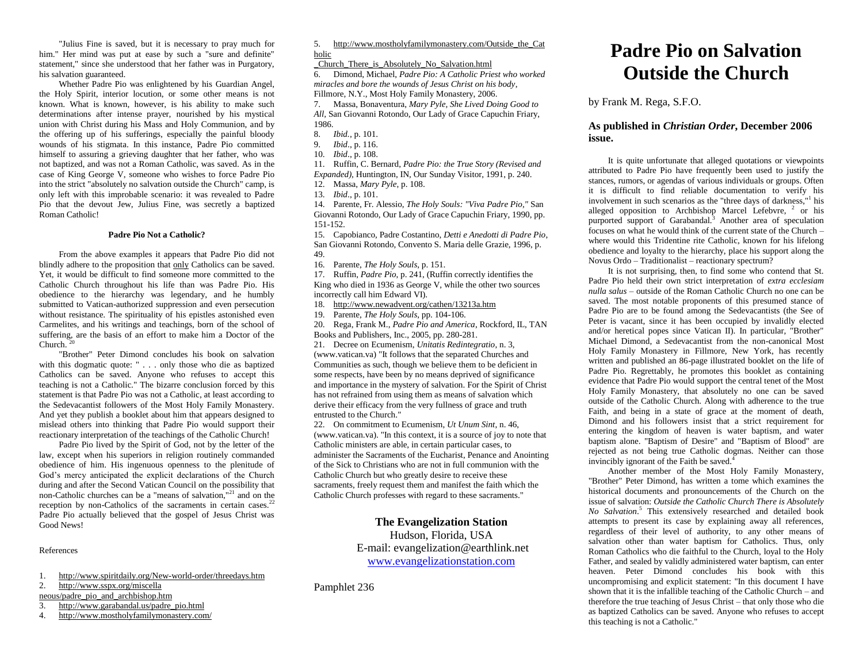"Julius Fine is saved, but it is necessary to pray much for him." Her mind was put at ease by such a "sure and definite" statement," since she understood that her father was in Purgatory, his salvation guaranteed.

Whether Padre Pio was enlightened by his Guardian Angel, the Holy Spirit, interior locution, or some other means is not known. What is known, however, is his ability to make such determinations after intense prayer, nourished by his mystical union with Christ during his Mass and Holy Communion, and by the offering up of his sufferings, especially the painful bloody wounds of his stigmata. In this instance, Padre Pio committed himself to assuring a grieving daughter that her father, who was not baptized, and was not a Roman Catholic, was saved. As in the case of King George V, someone who wishes to force Padre Pio into the strict "absolutely no salvation outside the Church" camp, is only left with this improbable scenario: it was revealed to Padre Pio that the devout Jew, Julius Fine, was secretly a baptized Roman Catholic!

### **Padre Pio Not a Catholic?**

From the above examples it appears that Padre Pio did not blindly adhere to the proposition that only Catholics can be saved. Yet, it would be difficult to find someone more committed to the Catholic Church throughout his life than was Padre Pio. His obedience to the hierarchy was legendary, and he humbly submitted to Vatican-authorized suppression and even persecution without resistance. The spirituality of his epistles astonished even Carmelites, and his writings and teachings, born of the school of suffering, are the basis of an effort to make him a Doctor of the  $Church.<sup>20</sup>$ 

"Brother" Peter Dimond concludes his book on salvation with this dogmatic quote: " . . . only those who die as baptized Catholics can be saved. Anyone who refuses to accept this teaching is not a Catholic." The bizarre conclusion forced by this statement is that Padre Pio was not a Catholic, at least according to the Sedevacantist followers of the Most Holy Family Monastery. And yet they publish a booklet about him that appears designed to mislead others into thinking that Padre Pio would support their reactionary interpretation of the teachings of the Catholic Church!

Padre Pio lived by the Spirit of God, not by the letter of the law, except when his superiors in religion routinely commanded obedience of him. His ingenuous openness to the plenitude of God's mercy anticipated the explicit declarations of the Church during and after the Second Vatican Council on the possibility that non-Catholic churches can be a "means of salvation,"<sup>21</sup> and on the reception by non-Catholics of the sacraments in certain cases.<sup>22</sup> Padre Pio actually believed that the gospel of Jesus Christ was Good News!

References

- 1. <http://www.spiritdaily.org/New-world-order/threedays.htm>
- 2. [http://www.sspx.org/miscella](http://www.sspx.org/miscellaneous/padre_pio_and_archbishop.htm)
- [neous/padre\\_pio\\_and\\_archbishop.htm](http://www.sspx.org/miscellaneous/padre_pio_and_archbishop.htm)<br>3. http://www.garabandal.us/padre
- 3. [http://www.garabandal.us/padre\\_pio.html](http://www.garabandal.us/padre_pio.html)<br>4. http://www.mostholyfamilymonastery.com
- 4. <http://www.mostholyfamilymonastery.com/>

5. [http://www.mostholyfamilymonastery.com/Outside\\_the\\_Cat](http://www.mostholyfamilymonastery.com/Outside_the_Catholic_Church_There_is_Absolutely_No_Salvation.html) [holic](http://www.mostholyfamilymonastery.com/Outside_the_Catholic_Church_There_is_Absolutely_No_Salvation.html)

[\\_Church\\_There\\_is\\_Absolutely\\_No\\_Salvation.html](http://www.mostholyfamilymonastery.com/Outside_the_Catholic_Church_There_is_Absolutely_No_Salvation.html)

6. Dimond, Michael, *Padre Pio: A Catholic Priest who worked miracles and bore the wounds of Jesus Christ on his body*, Fillmore, N.Y., Most Holy Family Monastery, 2006.

7. Massa, Bonaventura, *Mary Pyle, She Lived Doing Good to All,* San Giovanni Rotondo, Our Lady of Grace Capuchin Friary, 1986.

- 8. *Ibid.*, p. 101.
- 9. *Ibid*., p. 116.
- 10. *Ibid*., p. 108.

11. Ruffin, C. Bernard, *Padre Pio: the True Story (Revised and Expanded),* Huntington, IN, Our Sunday Visitor, 1991, p. 240.

- 12. Massa, *Mary Pyle*, p. 108.
- 13. *Ibid*., p. 101.

14. Parente, Fr. Alessio, *The Holy Souls: "Viva Padre Pio,"* San Giovanni Rotondo, Our Lady of Grace Capuchin Friary, 1990, pp. 151-152.

15. Capobianco, Padre Costantino, *Detti e Anedotti di Padre Pio*, San Giovanni Rotondo, Convento S. Maria delle Grazie, 1996, p. 49.

16. Parente, *The Holy Souls*, p. 151.

17. Ruffin, *Padre Pio*, p. 241, (Ruffin correctly identifies the King who died in 1936 as George V, while the other two sources incorrectly call him Edward VI).

18. <http://www.newadvent.org/cathen/13213a.htm>

19. Parente, *The Holy Souls*, pp. 104-106.

20. Rega, Frank M., *Padre Pio and America*, Rockford, IL, TAN Books and Publishers, Inc., 2005, pp. 280-281.

21. Decree on Ecumenism, *Unitatis Redintegratio*, n. 3, (www.vatican.va) "It follows that the separated Churches and Communities as such, though we believe them to be deficient in some respects, have been by no means deprived of significance and importance in the mystery of salvation. For the Spirit of Christ has not refrained from using them as means of salvation which derive their efficacy from the very fullness of grace and truth entrusted to the Church."

22. On commitment to Ecumenism, *Ut Unum Sint*, n. 46, (www.vatican.va). "In this context, it is a source of joy to note that Catholic ministers are able, in certain particular cases, to administer the Sacraments of the Eucharist, Penance and Anointing of the Sick to Christians who are not in full communion with the Catholic Church but who greatly desire to receive these sacraments, freely request them and manifest the faith which the Catholic Church professes with regard to these sacraments."

## **The Evangelization Station**

Hudson, Florida, USA E-mail: evangelization@earthlink.net [www.evangelizationstation.com](http://www.pjpiisoe.org/)

Pamphlet 236

# **Padre Pio on Salvation Outside the Church**

by Frank M. Rega, S.F.O.

## **As published in** *Christian Order***, December 2006 issue.**

It is quite unfortunate that alleged quotations or viewpoints attributed to Padre Pio have frequently been used to justify the stances, rumors, or agendas of various individuals or groups. Often it is difficult to find reliable documentation to verify his involvement in such scenarios as the "three days of darkness,"<sup>1</sup> his alleged opposition to Archbishop Marcel Lefebvre, <sup>2</sup> or his purported support of Garabandal.<sup>3</sup> Another area of speculation focuses on what he would think of the current state of the Church – where would this Tridentine rite Catholic, known for his lifelong obedience and loyalty to the hierarchy, place his support along the Novus Ordo – Traditionalist – reactionary spectrum?

It is not surprising, then, to find some who contend that St. Padre Pio held their own strict interpretation of *extra ecclesiam nulla salus* – outside of the Roman Catholic Church no one can be saved. The most notable proponents of this presumed stance of Padre Pio are to be found among the Sedevacantists (the See of Peter is vacant, since it has been occupied by invalidly elected and/or heretical popes since Vatican II). In particular, "Brother" Michael Dimond, a Sedevacantist from the non-canonical Most Holy Family Monastery in Fillmore, New York, has recently written and published an 86-page illustrated booklet on the life of Padre Pio. Regrettably, he promotes this booklet as containing evidence that Padre Pio would support the central tenet of the Most Holy Family Monastery, that absolutely no one can be saved outside of the Catholic Church. Along with adherence to the true Faith, and being in a state of grace at the moment of death, Dimond and his followers insist that a strict requirement for entering the kingdom of heaven is water baptism, and water baptism alone. "Baptism of Desire" and "Baptism of Blood" are rejected as not being true Catholic dogmas. Neither can those invincibly ignorant of the Faith be saved. $4$ 

Another member of the Most Holy Family Monastery, "Brother" Peter Dimond, has written a tome which examines the historical documents and pronouncements of the Church on the issue of salvation: *Outside the Catholic Church There is Absolutely No Salvation*. <sup>5</sup> This extensively researched and detailed book attempts to present its case by explaining away all references, regardless of their level of authority, to any other means of salvation other than water baptism for Catholics. Thus, only Roman Catholics who die faithful to the Church, loyal to the Holy Father, and sealed by validly administered water baptism, can enter heaven. Peter Dimond concludes his book with this uncompromising and explicit statement: "In this document I have shown that it is the infallible teaching of the Catholic Church – and therefore the true teaching of Jesus Christ – that only those who die as baptized Catholics can be saved. Anyone who refuses to accept this teaching is not a Catholic."